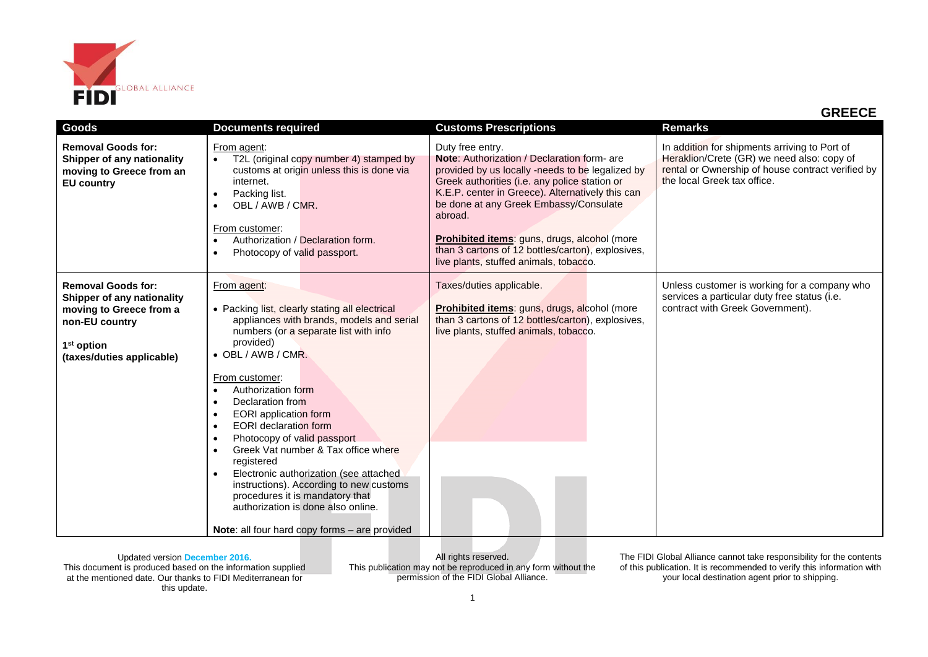

 **GREECE**

| Goods                                                                                                                                                       | <b>Documents required</b>                                                                                                                                                                                                                                                                                                                                                                                                                                                                                                                                                                                                                                   | <b>Customs Prescriptions</b>                                                                                                                                                                                                                                                                                                                                                                                                 | <b>Remarks</b>                                                                                                                                                                  |
|-------------------------------------------------------------------------------------------------------------------------------------------------------------|-------------------------------------------------------------------------------------------------------------------------------------------------------------------------------------------------------------------------------------------------------------------------------------------------------------------------------------------------------------------------------------------------------------------------------------------------------------------------------------------------------------------------------------------------------------------------------------------------------------------------------------------------------------|------------------------------------------------------------------------------------------------------------------------------------------------------------------------------------------------------------------------------------------------------------------------------------------------------------------------------------------------------------------------------------------------------------------------------|---------------------------------------------------------------------------------------------------------------------------------------------------------------------------------|
| <b>Removal Goods for:</b><br>Shipper of any nationality<br>moving to Greece from an<br><b>EU country</b>                                                    | From agent:<br>T2L (original copy number 4) stamped by<br>customs at origin unless this is done via<br>internet.<br>Packing list.<br>$\bullet$<br>OBL / AWB / CMR.<br>From customer:<br>Authorization / Declaration form.<br>Photocopy of valid passport.                                                                                                                                                                                                                                                                                                                                                                                                   | Duty free entry.<br>Note: Authorization / Declaration form- are<br>provided by us locally -needs to be legalized by<br>Greek authorities (i.e. any police station or<br>K.E.P. center in Greece). Alternatively this can<br>be done at any Greek Embassy/Consulate<br>abroad.<br>Prohibited items: guns, drugs, alcohol (more<br>than 3 cartons of 12 bottles/carton), explosives,<br>live plants, stuffed animals, tobacco. | In addition for shipments arriving to Port of<br>Heraklion/Crete (GR) we need also: copy of<br>rental or Ownership of house contract verified by<br>the local Greek tax office. |
| <b>Removal Goods for:</b><br>Shipper of any nationality<br>moving to Greece from a<br>non-EU country<br>1 <sup>st</sup> option<br>(taxes/duties applicable) | From agent:<br>• Packing list, clearly stating all electrical<br>appliances with brands, models and serial<br>numbers (or a separate list with info<br>provided)<br>$\bullet$ OBL / AWB / CMR.<br>From customer:<br>Authorization form<br>Declaration from<br><b>EORI</b> application form<br>٠<br><b>EORI</b> declaration form<br>$\bullet$<br>Photocopy of valid passport<br>٠<br>Greek Vat number & Tax office where<br>registered<br>Electronic authorization (see attached<br>instructions). According to new customs<br>procedures it is mandatory that<br>authorization is done also online.<br><b>Note:</b> all four hard copy forms – are provided | Taxes/duties applicable.<br>Prohibited items: guns, drugs, alcohol (more<br>than 3 cartons of 12 bottles/carton), explosives,<br>live plants, stuffed animals, tobacco.                                                                                                                                                                                                                                                      | Unless customer is working for a company who<br>services a particular duty free status (i.e.<br>contract with Greek Government).                                                |

Updated version **December 2016.** This document is produced based on the information supplied at the mentioned date. Our thanks to FIDI Mediterranean for this update.

All rights reserved. This publication may not be reproduced in any form without the permission of the FIDI Global Alliance.

The FIDI Global Alliance cannot take responsibility for the contents of this publication. It is recommended to verify this information with your local destination agent prior to shipping.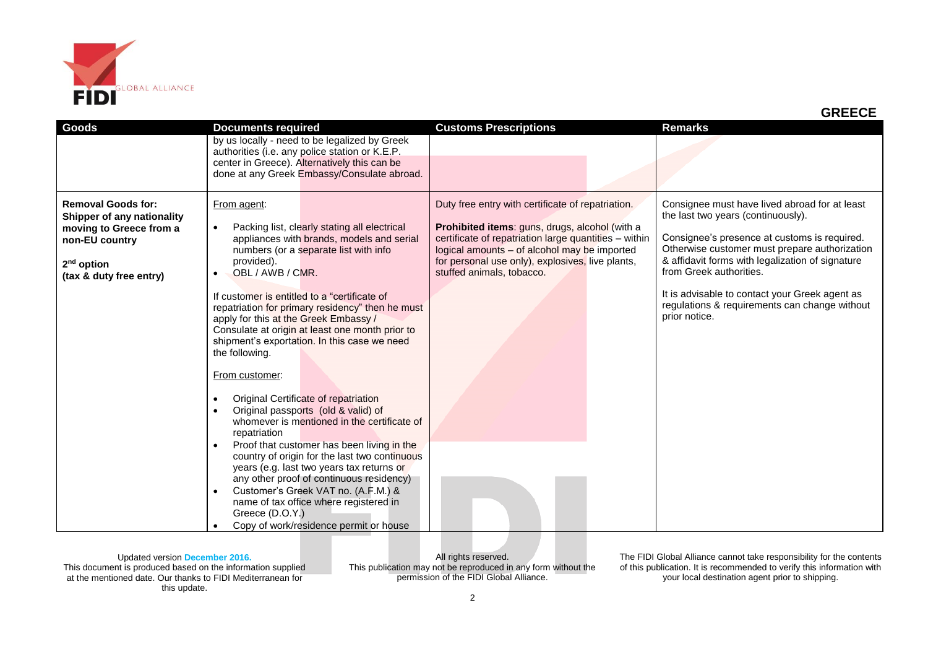

| by us locally - need to be legalized by Greek<br>authorities (i.e. any police station or K.E.P.<br>center in Greece). Alternatively this can be<br>done at any Greek Embassy/Consulate abroad.                                                                                                                                                                                                                                                                                                                                                                                                                                                                                                                                                                                                                                                                                                                                                                                                                                                                                                                                                                                                                                                                                                                                                                                                                                                                                                                                                                                                                                                                                                                                                                                                                       |  |
|----------------------------------------------------------------------------------------------------------------------------------------------------------------------------------------------------------------------------------------------------------------------------------------------------------------------------------------------------------------------------------------------------------------------------------------------------------------------------------------------------------------------------------------------------------------------------------------------------------------------------------------------------------------------------------------------------------------------------------------------------------------------------------------------------------------------------------------------------------------------------------------------------------------------------------------------------------------------------------------------------------------------------------------------------------------------------------------------------------------------------------------------------------------------------------------------------------------------------------------------------------------------------------------------------------------------------------------------------------------------------------------------------------------------------------------------------------------------------------------------------------------------------------------------------------------------------------------------------------------------------------------------------------------------------------------------------------------------------------------------------------------------------------------------------------------------|--|
|                                                                                                                                                                                                                                                                                                                                                                                                                                                                                                                                                                                                                                                                                                                                                                                                                                                                                                                                                                                                                                                                                                                                                                                                                                                                                                                                                                                                                                                                                                                                                                                                                                                                                                                                                                                                                      |  |
| Duty free entry with certificate of repatriation.<br>Consignee must have lived abroad for at least<br><b>Removal Goods for:</b><br>From agent:<br>the last two years (continuously).<br>Shipper of any nationality<br>Prohibited items: guns, drugs, alcohol (with a<br>Packing list, clearly stating all electrical<br>moving to Greece from a<br>$\bullet$<br>Consignee's presence at customs is required.<br>certificate of repatriation large quantities - within<br>appliances with brands, models and serial<br>non-EU country<br>Otherwise customer must prepare authorization<br>logical amounts - of alcohol may be imported<br>numbers (or a separate list with info<br>& affidavit forms with legalization of signature<br>for personal use only), explosives, live plants,<br>provided).<br>$2nd$ option<br>from Greek authorities.<br>stuffed animals, tobacco.<br>OBL / AWB / CMR.<br>$\bullet$<br>(tax & duty free entry)<br>It is advisable to contact your Greek agent as<br>If customer is entitled to a "certificate of<br>regulations & requirements can change without<br>repatriation for primary residency" then he must<br>prior notice.<br>apply for this at the Greek Embassy /<br>Consulate at origin at least one month prior to<br>shipment's exportation. In this case we need<br>the following.<br>From customer:<br>Original Certificate of repatriation<br>Original passports (old & valid) of<br>whomever is mentioned in the certificate of<br>repatriation<br>Proof that customer has been living in the<br>$\bullet$<br>country of origin for the last two continuous<br>years (e.g. last two years tax returns or<br>any other proof of continuous residency)<br>Customer's Greek VAT no. (A.F.M.) &<br>$\bullet$<br>name of tax office where registered in<br>Greece (D.O.Y.) |  |

All rights reserved. This publication may not be reproduced in any form without the permission of the FIDI Global Alliance.

The FIDI Global Alliance cannot take responsibility for the contents of this publication. It is recommended to verify this information with your local destination agent prior to shipping.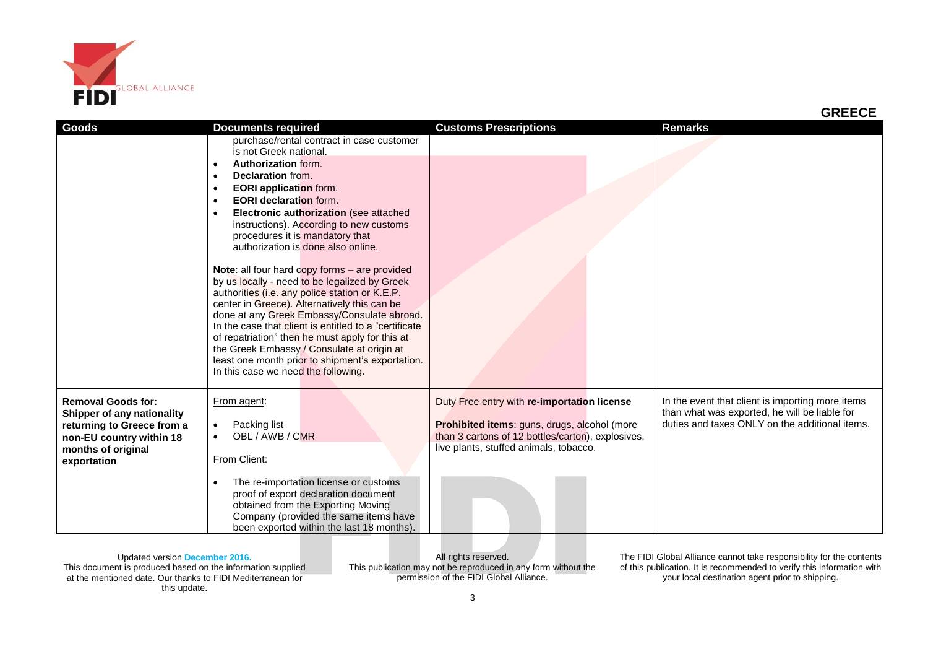

| <b>Goods</b>               | <b>Documents required</b>                              | <b>Customs Prescriptions</b>                                                                      | <b>Remarks</b>                                                                                    |
|----------------------------|--------------------------------------------------------|---------------------------------------------------------------------------------------------------|---------------------------------------------------------------------------------------------------|
|                            | purchase/rental contract in case customer              |                                                                                                   |                                                                                                   |
|                            | is not Greek national.                                 |                                                                                                   |                                                                                                   |
|                            | Authorization form.                                    |                                                                                                   |                                                                                                   |
|                            | <b>Declaration from.</b>                               |                                                                                                   |                                                                                                   |
|                            | <b>EORI</b> application form.                          |                                                                                                   |                                                                                                   |
|                            | <b>EORI declaration form.</b>                          |                                                                                                   |                                                                                                   |
|                            | Electronic authorization (see attached                 |                                                                                                   |                                                                                                   |
|                            | instructions). According to new customs                |                                                                                                   |                                                                                                   |
|                            | procedures it is mandatory that                        |                                                                                                   |                                                                                                   |
|                            | authorization is done also online.                     |                                                                                                   |                                                                                                   |
|                            |                                                        |                                                                                                   |                                                                                                   |
|                            | Note: all four hard copy forms - are provided          |                                                                                                   |                                                                                                   |
|                            | by us locally - need to be legalized by Greek          |                                                                                                   |                                                                                                   |
|                            | authorities (i.e. any police station or K.E.P.         |                                                                                                   |                                                                                                   |
|                            | center in Greece). Alternatively this can be           |                                                                                                   |                                                                                                   |
|                            | done at any Greek Embassy/Consulate abroad.            |                                                                                                   |                                                                                                   |
|                            | In the case that client is entitled to a "certificate" |                                                                                                   |                                                                                                   |
|                            | of repatriation" then he must apply for this at        |                                                                                                   |                                                                                                   |
|                            | the Greek Embassy / Consulate at origin at             |                                                                                                   |                                                                                                   |
|                            | least one month prior to shipment's exportation.       |                                                                                                   |                                                                                                   |
|                            | In this case we need the following.                    |                                                                                                   |                                                                                                   |
| <b>Removal Goods for:</b>  |                                                        |                                                                                                   |                                                                                                   |
|                            | From agent:                                            | Duty Free entry with re-importation license                                                       | In the event that client is importing more items<br>than what was exported, he will be liable for |
| Shipper of any nationality | Packing list                                           |                                                                                                   | duties and taxes ONLY on the additional items.                                                    |
| returning to Greece from a | OBL / AWB / CMR                                        | Prohibited items: guns, drugs, alcohol (more<br>than 3 cartons of 12 bottles/carton), explosives, |                                                                                                   |
| non-EU country within 18   |                                                        | live plants, stuffed animals, tobacco.                                                            |                                                                                                   |
| months of original         | From Client:                                           |                                                                                                   |                                                                                                   |
| exportation                |                                                        |                                                                                                   |                                                                                                   |
|                            | The re-importation license or customs                  |                                                                                                   |                                                                                                   |
|                            | proof of export declaration document                   |                                                                                                   |                                                                                                   |
|                            | obtained from the Exporting Moving                     |                                                                                                   |                                                                                                   |
|                            | Company (provided the same items have                  |                                                                                                   |                                                                                                   |
|                            | been exported within the last 18 months).              |                                                                                                   |                                                                                                   |

All rights reserved. This publication may not be reproduced in any form without the permission of the FIDI Global Alliance.

The FIDI Global Alliance cannot take responsibility for the contents of this publication. It is recommended to verify this information with your local destination agent prior to shipping.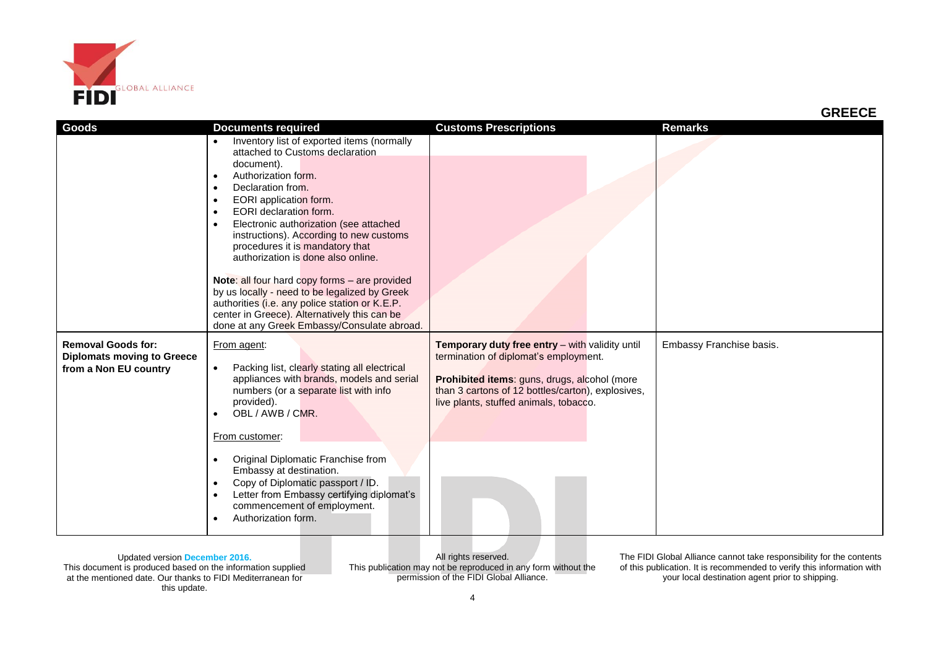

All rights reserved. This publication may not be reproduced in any form without the permission of the FIDI Global Alliance.

The FIDI Global Alliance cannot take responsibility for the contents of this publication. It is recommended to verify this information with your local destination agent prior to shipping.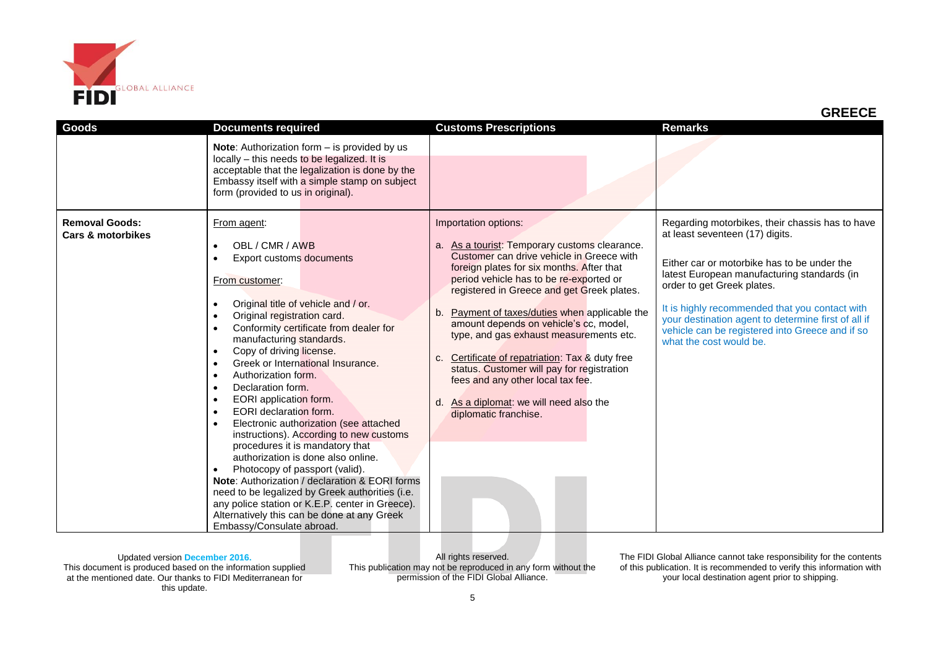

| <b>Goods</b>                                          | <b>Documents required</b>                                                                                                                                                                                                                                                                                                                                                                                                                                                                                                                                                                                                                                                                                                                                                                                                                                                                                                                                 | <b>Customs Prescriptions</b>                                                                                                                                                                                                                                                                                                                                                                                                                                                                                                                                                                                       | <b>Remarks</b>                                                                                                                                                                                                                                                                                                                                                                                        |
|-------------------------------------------------------|-----------------------------------------------------------------------------------------------------------------------------------------------------------------------------------------------------------------------------------------------------------------------------------------------------------------------------------------------------------------------------------------------------------------------------------------------------------------------------------------------------------------------------------------------------------------------------------------------------------------------------------------------------------------------------------------------------------------------------------------------------------------------------------------------------------------------------------------------------------------------------------------------------------------------------------------------------------|--------------------------------------------------------------------------------------------------------------------------------------------------------------------------------------------------------------------------------------------------------------------------------------------------------------------------------------------------------------------------------------------------------------------------------------------------------------------------------------------------------------------------------------------------------------------------------------------------------------------|-------------------------------------------------------------------------------------------------------------------------------------------------------------------------------------------------------------------------------------------------------------------------------------------------------------------------------------------------------------------------------------------------------|
|                                                       | Note: Authorization form - is provided by us<br>locally - this needs to be legalized. It is<br>acceptable that the legalization is done by the<br>Embassy itself with a simple stamp on subject<br>form (provided to us in original).                                                                                                                                                                                                                                                                                                                                                                                                                                                                                                                                                                                                                                                                                                                     |                                                                                                                                                                                                                                                                                                                                                                                                                                                                                                                                                                                                                    |                                                                                                                                                                                                                                                                                                                                                                                                       |
| <b>Removal Goods:</b><br><b>Cars &amp; motorbikes</b> | From agent:<br>OBL / CMR / AWB<br>Export customs documents<br>From customer:<br>Original title of vehicle and / or.<br>Original registration card.<br>$\bullet$<br>Conformity certificate from dealer for<br>manufacturing standards.<br>Copy of driving license.<br>$\bullet$<br>Greek or International Insurance.<br>$\bullet$<br>Authorization form.<br>$\bullet$<br>Declaration form.<br>$\bullet$<br>EORI application form.<br>$\bullet$<br><b>EORI</b> declaration form.<br>$\bullet$<br>Electronic authorization (see attached<br>$\bullet$<br>instructions). According to new customs<br>procedures it is mandatory that<br>authorization is done also online.<br>Photocopy of passport (valid).<br>$\bullet$<br>Note: Authorization / declaration & EORI forms<br>need to be legalized by Greek authorities (i.e.<br>any police station or K.E.P. center in Greece).<br>Alternatively this can be done at any Greek<br>Embassy/Consulate abroad. | Importation options:<br>a. As a tourist: Temporary customs clearance.<br>Customer can drive vehicle in Greece with<br>foreign plates for six months. After that<br>period vehicle has to be re-exported or<br>registered in Greece and get Greek plates.<br>Payment of taxes/duties when applicable the<br>b.<br>amount depends on vehicle's cc, model,<br>type, and gas exhaust measurements etc.<br>Certificate of repatriation: Tax & duty free<br>c.<br>status. Customer will pay for registration<br>fees and any other local tax fee.<br>As a diplomat: we will need also the<br>d.<br>diplomatic franchise. | Regarding motorbikes, their chassis has to have<br>at least seventeen (17) digits.<br>Either car or motorbike has to be under the<br>latest European manufacturing standards (in<br>order to get Greek plates.<br>It is highly recommended that you contact with<br>your destination agent to determine first of all if<br>vehicle can be registered into Greece and if so<br>what the cost would be. |

All rights reserved. This publication may not be reproduced in any form without the permission of the FIDI Global Alliance.

The FIDI Global Alliance cannot take responsibility for the contents of this publication. It is recommended to verify this information with your local destination agent prior to shipping.